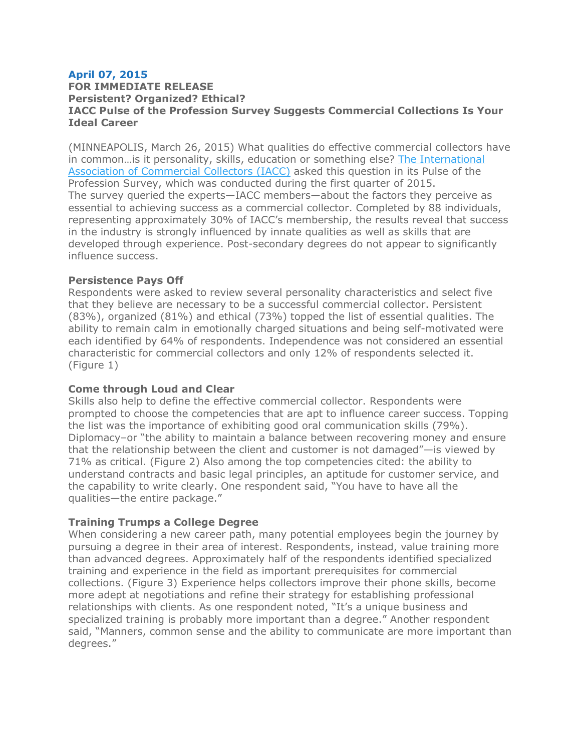# **April 07, 2015**

### **FOR IMMEDIATE RELEASE Persistent? Organized? Ethical? IACC Pulse of the Profession Survey Suggests Commercial Collections Is Your Ideal Career**

(MINNEAPOLIS, March 26, 2015) What qualities do effective commercial collectors have in common…is it personality, skills, education or something else? The [International](https://www.commercialcollector.com/default) Association of [Commercial](https://www.commercialcollector.com/default) Collectors (IACC) asked this question in its Pulse of the Profession Survey, which was conducted during the first quarter of 2015. The survey queried the experts—IACC members—about the factors they perceive as essential to achieving success as a commercial collector. Completed by 88 individuals, representing approximately 30% of IACC's membership, the results reveal that success in the industry is strongly influenced by innate qualities as well as skills that are developed through experience. Post-secondary degrees do not appear to significantly influence success.

## **Persistence Pays Off**

Respondents were asked to review several personality characteristics and select five that they believe are necessary to be a successful commercial collector. Persistent (83%), organized (81%) and ethical (73%) topped the list of essential qualities. The ability to remain calm in emotionally charged situations and being self-motivated were each identified by 64% of respondents. Independence was not considered an essential characteristic for commercial collectors and only 12% of respondents selected it. (Figure 1)

# **Come through Loud and Clear**

Skills also help to define the effective commercial collector. Respondents were prompted to choose the competencies that are apt to influence career success. Topping the list was the importance of exhibiting good oral communication skills (79%). Diplomacy–or "the ability to maintain a balance between recovering money and ensure that the relationship between the client and customer is not damaged"—is viewed by 71% as critical. (Figure 2) Also among the top competencies cited: the ability to understand contracts and basic legal principles, an aptitude for customer service, and the capability to write clearly. One respondent said, "You have to have all the qualities—the entire package."

# **Training Trumps a College Degree**

When considering a new career path, many potential employees begin the journey by pursuing a degree in their area of interest. Respondents, instead, value training more than advanced degrees. Approximately half of the respondents identified specialized training and experience in the field as important prerequisites for commercial collections. (Figure 3) Experience helps collectors improve their phone skills, become more adept at negotiations and refine their strategy for establishing professional relationships with clients. As one respondent noted, "It's a unique business and specialized training is probably more important than a degree." Another respondent said, "Manners, common sense and the ability to communicate are more important than degrees."